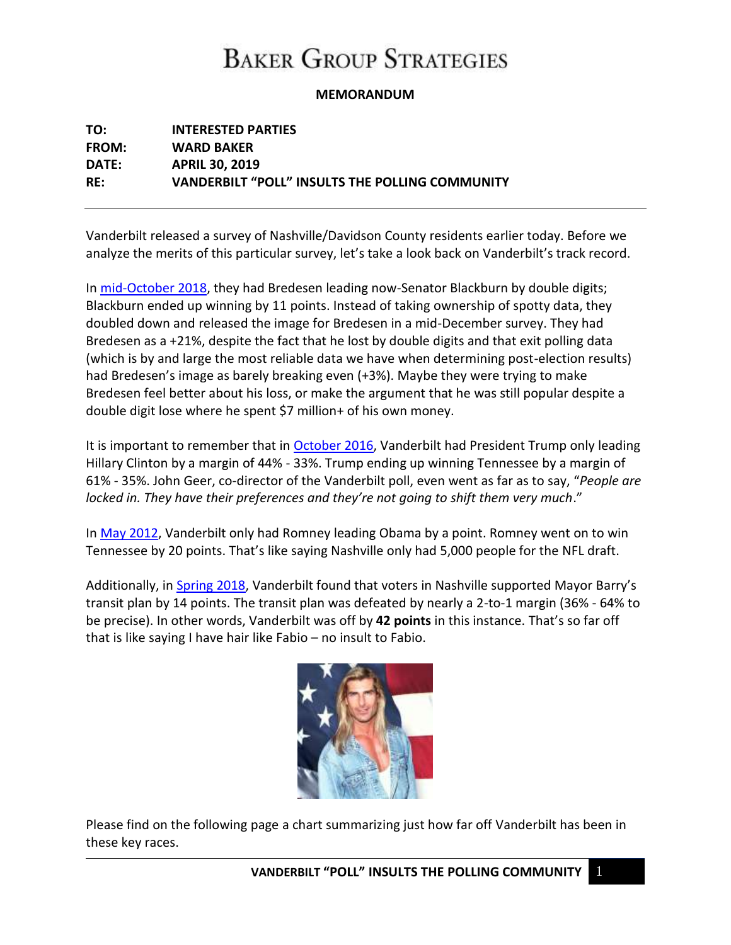## **BAKER GROUP STRATEGIES**

#### **MEMORANDUM**

| TO:          | <b>INTERESTED PARTIES</b>                       |
|--------------|-------------------------------------------------|
| <b>FROM:</b> | <b>WARD BAKER</b>                               |
| DATE:        | <b>APRIL 30, 2019</b>                           |
| RE:          | VANDERBILT "POLL" INSULTS THE POLLING COMMUNITY |

Vanderbilt released a survey of Nashville/Davidson County residents earlier today. Before we analyze the merits of this particular survey, let's take a look back on Vanderbilt's track record.

In [mid-October 2018,](https://www.vanderbilt.edu/csdi/toplines-midterm-poll-2018.pdf) they had Bredesen leading now-Senator Blackburn by double digits; Blackburn ended up winning by 11 points. Instead of taking ownership of spotty data, they doubled down and released the image for Bredesen in a mid-December survey. They had Bredesen as a +21%, despite the fact that he lost by double digits and that exit polling data (which is by and large the most reliable data we have when determining post-election results) had Bredesen's image as barely breaking even (+3%). Maybe they were trying to make Bredesen feel better about his loss, or make the argument that he was still popular despite a double digit lose where he spent \$7 million+ of his own money.

It is important to remember that in [October 2016,](https://www.vanderbilt.edu/csdi/2.pdf) Vanderbilt had President Trump only leading Hillary Clinton by a margin of 44% - 33%. Trump ending up winning Tennessee by a margin of 61% - 35%. John Geer, co-director of the Vanderbilt poll, even went as far as to say, "*People are locked in. They have their preferences and they're not going to shift them very much*."

In [May 2012,](https://www.vanderbilt.edu/csdi/tl2012.pdf) Vanderbilt only had Romney leading Obama by a point. Romney went on to win Tennessee by 20 points. That's like saying Nashville only had 5,000 people for the NFL draft.

Additionally, in [Spring 2018,](https://news.vanderbilt.edu/2018/03/04/vanderbilt-poll-nashville-2018/) Vanderbilt found that voters in Nashville supported Mayor Barry's transit plan by 14 points. The transit plan was defeated by nearly a 2-to-1 margin (36% - 64% to be precise). In other words, Vanderbilt was off by **42 points** in this instance. That's so far off that is like saying I have hair like Fabio – no insult to Fabio.



Please find on the following page a chart summarizing just how far off Vanderbilt has been in these key races.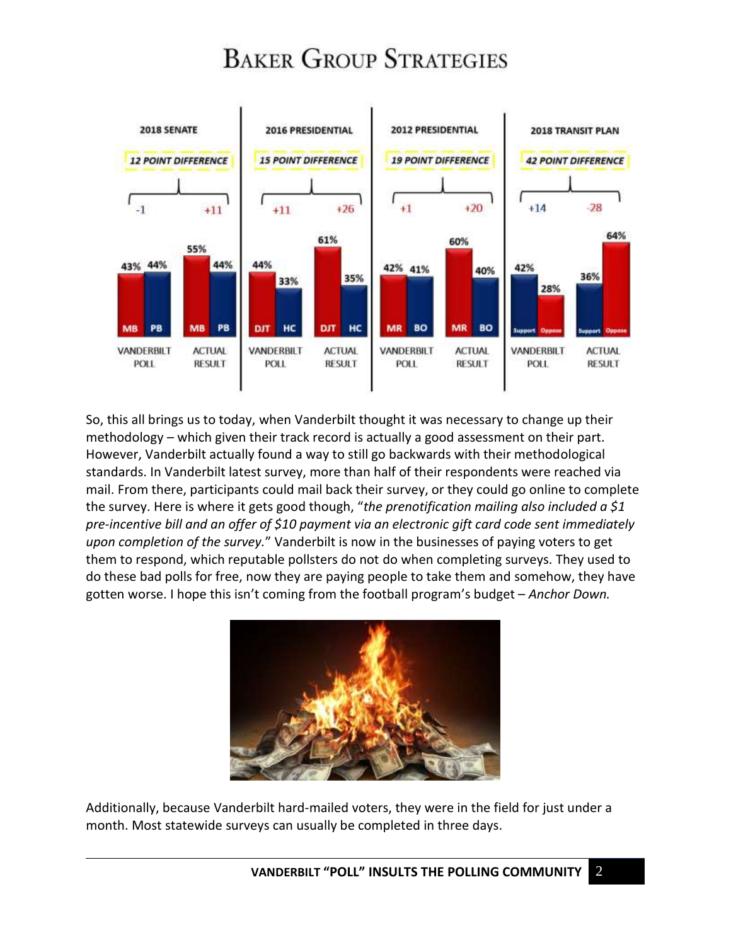## **BAKER GROUP STRATEGIES**



So, this all brings us to today, when Vanderbilt thought it was necessary to change up their methodology – which given their track record is actually a good assessment on their part. However, Vanderbilt actually found a way to still go backwards with their methodological standards. In Vanderbilt latest survey, more than half of their respondents were reached via mail. From there, participants could mail back their survey, or they could go online to complete the survey. Here is where it gets good though, "*the prenotification mailing also included a \$1 pre-incentive bill and an offer of \$10 payment via an electronic gift card code sent immediately upon completion of the survey.*" Vanderbilt is now in the businesses of paying voters to get them to respond, which reputable pollsters do not do when completing surveys. They used to do these bad polls for free, now they are paying people to take them and somehow, they have gotten worse. I hope this isn't coming from the football program's budget – *Anchor Down.* 



Additionally, because Vanderbilt hard-mailed voters, they were in the field for just under a month. Most statewide surveys can usually be completed in three days.